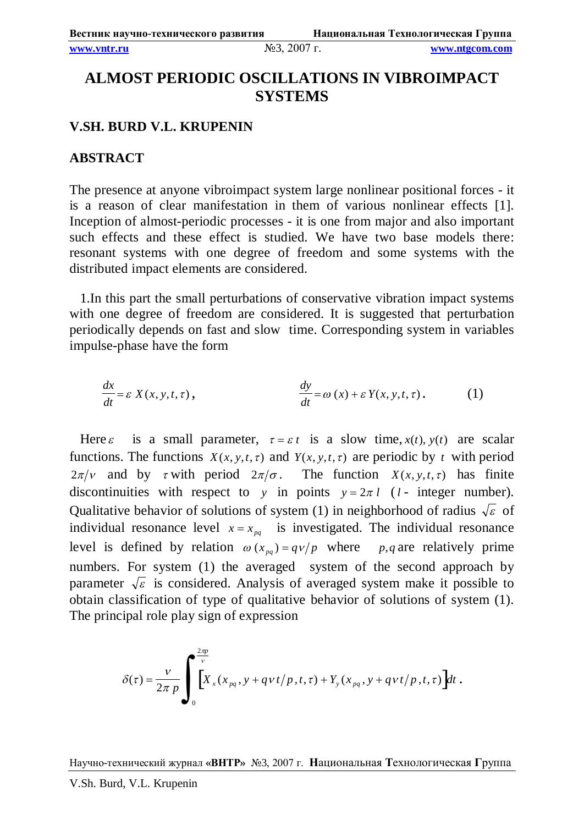## **ALMOST PERIODIC OSCILLATIONS IN VIBROIMPACT SYSTEMS**

## **V.SH. BURD V.L. KRUPENIN**

## **ABSTRACT**

The presence at anyone vibroimpact system large nonlinear positional forces - it is a reason of clear manifestation in them of various nonlinear effects [1]. Inception of almost-periodic processes - it is one from major and also important such effects and these effect is studied. We have two base models there: resonant systems with one degree of freedom and some systems with the distributed impact elements are considered.

1.In this part the small perturbations of conservative vibration impact systems with one degree of freedom are considered. It is suggested that perturbation periodically depends on fast and slow time. Corresponding system in variables impulse-phase have the form

$$
\frac{dx}{dt} = \varepsilon X(x, y, t, \tau), \qquad \frac{dy}{dt} = \omega(x) + \varepsilon Y(x, y, t, \tau). \qquad (1)
$$

Here *t* is a small parameter,  $\tau = \varepsilon t$  is a slow time,  $x(t)$ ,  $y(t)$  are scalar functions. The functions  $X(x, y, t, \tau)$  and  $Y(x, y, t, \tau)$  are periodic by *t* with period  $2\pi/v$  and by *t* with period  $2\pi/\sigma$ . The function  $X(x, y, t, \tau)$  has finite discontinuities with respect to *y* in points  $y = 2\pi l$  (*l* - integer number). Qualitative behavior of solutions of system (1) in neighborhood of radius  $\sqrt{\varepsilon}$  of individual resonance level  $x = x_{pq}$  is investigated. The individual resonance level is defined by relation  $\omega(x_{pq}) = qv/p$  where *p,q* are relatively prime numbers. For system (1) the averaged system of the second approach by parameter  $\sqrt{\varepsilon}$  is considered. Analysis of averaged system make it possible to obtain classification of type of qualitative behavior of solutions of system (1). The principal role play sign of expression

$$
\delta(\tau) = \frac{\nu}{2\pi p} \int_0^{\frac{2\pi p}{\nu}} \left[ X_x(x_{pq}, y + qvt/p, t, \tau) + Y_y(x_{pq}, y + qvt/p, t, \tau) \right] dt.
$$

Научно-технический журнал **«ВНТР»** №3, 2007 г. **Н**ациональная **Т**ехнологическая **Г**руппа